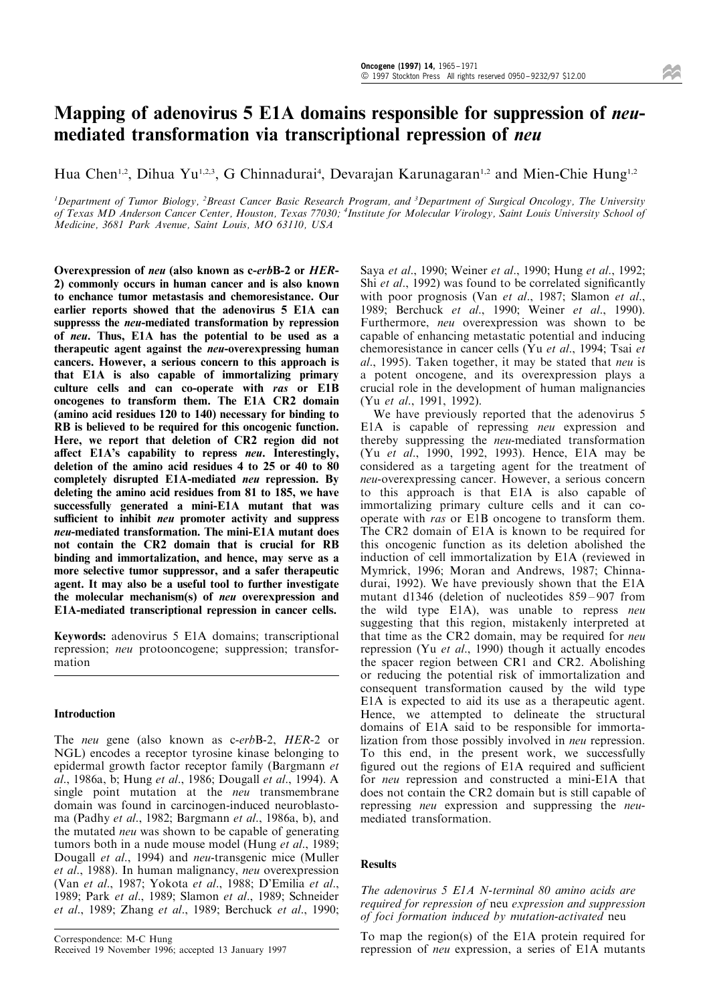# Mapping of adenovirus 5 E1A domains responsible for suppression of neumediated transformation via transcriptional repression of neu

Hua Chen<sup>1,2</sup>, Dihua Yu<sup>1,2,3</sup>, G Chinnadurai<sup>4</sup>, Devarajan Karunagaran<sup>1,2</sup> and Mien-Chie Hung<sup>1,2</sup>

<sup>1</sup>Department of Tumor Biology, <sup>2</sup>Breast Cancer Basic Research Program, and <sup>3</sup>Department of Surgical Oncology, The University of Texas MD Anderson Cancer Center, Houston, Texas 77030; <sup>4</sup> Institute for Molecular Virology, Saint Louis University School of Medicine, 3681 Park Avenue, Saint Louis, MO 63110, USA

Overexpression of neu (also known as c-erbB-2 or HER-2) commonly occurs in human cancer and is also known to enchance tumor metastasis and chemoresistance. Our earlier reports showed that the adenovirus 5 E1A can suppresss the neu-mediated transformation by repression of neu. Thus, E1A has the potential to be used as a therapeutic agent against the neu-overexpressing human cancers. However, a serious concern to this approach is that E1A is also capable of immortalizing primary culture cells and can co-operate with ras or E1B oncogenes to transform them. The E1A CR2 domain (amino acid residues 120 to 140) necessary for binding to RB is believed to be required for this oncogenic function. Here, we report that deletion of CR2 region did not affect E1A's capability to repress neu. Interestingly, deletion of the amino acid residues 4 to 25 or 40 to 80 completely disrupted E1A-mediated neu repression. By deleting the amino acid residues from 81 to 185, we have successfully generated a mini-E1A mutant that was sufficient to inhibit *neu* promoter activity and suppress neu-mediated transformation. The mini-E1A mutant does not contain the CR2 domain that is crucial for RB binding and immortalization, and hence, may serve as a more selective tumor suppressor, and a safer therapeutic agent. It may also be a useful tool to further investigate the molecular mechanism(s) of neu overexpression and E1A-mediated transcriptional repression in cancer cells.

Keywords: adenovirus 5 E1A domains; transcriptional repression; neu protooncogene; suppression; transformation

# Introduction

The *neu* gene (also known as c-erbB-2, HER-2 or NGL) encodes a receptor tyrosine kinase belonging to epidermal growth factor receptor family (Bargmann et al., 1986a, b; Hung et al., 1986; Dougall et al., 1994). A single point mutation at the *neu* transmembrane domain was found in carcinogen-induced neuroblastoma (Padhy et al., 1982; Bargmann et al., 1986a, b), and the mutated neu was shown to be capable of generating tumors both in a nude mouse model (Hung et al., 1989; Dougall et al., 1994) and neu-transgenic mice (Muller et al., 1988). In human malignancy, neu overexpression (Van et al., 1987; Yokota et al., 1988; D'Emilia et al., 1989; Park et al., 1989; Slamon et al., 1989; Schneider et al., 1989; Zhang et al., 1989; Berchuck et al., 1990;

Saya et al., 1990; Weiner et al., 1990; Hung et al., 1992; Shi *et al.*, 1992) was found to be correlated significantly with poor prognosis (Van et al., 1987; Slamon et al., 1989; Berchuck et al., 1990; Weiner et al., 1990). Furthermore, neu overexpression was shown to be capable of enhancing metastatic potential and inducing chemoresistance in cancer cells (Yu et al., 1994; Tsai et al., 1995). Taken together, it may be stated that neu is a potent oncogene, and its overexpression plays a crucial role in the development of human malignancies (Yu et al., 1991, 1992).

We have previously reported that the adenovirus 5 E1A is capable of repressing neu expression and thereby suppressing the neu-mediated transformation (Yu et al., 1990, 1992, 1993). Hence, E1A may be considered as a targeting agent for the treatment of neu-overexpressing cancer. However, a serious concern to this approach is that E1A is also capable of immortalizing primary culture cells and it can cooperate with ras or E1B oncogene to transform them. The CR2 domain of E1A is known to be required for this oncogenic function as its deletion abolished the induction of cell immortalization by E1A (reviewed in Mymrick, 1996; Moran and Andrews, 1987; Chinnadurai, 1992). We have previously shown that the E1A mutant d1346 (deletion of nucleotides  $859 - 907$  from the wild type E1A), was unable to repress neu suggesting that this region, mistakenly interpreted at that time as the CR2 domain, may be required for neu repression (Yu et al., 1990) though it actually encodes the spacer region between CR1 and CR2. Abolishing or reducing the potential risk of immortalization and consequent transformation caused by the wild type E1A is expected to aid its use as a therapeutic agent. Hence, we attempted to delineate the structural domains of E1A said to be responsible for immortalization from those possibly involved in neu repression. To this end, in the present work, we successfully figured out the regions of E1A required and sufficient for neu repression and constructed a mini-E1A that does not contain the CR2 domain but is still capable of repressing neu expression and suppressing the neumediated transformation.

# Results

The adenovirus 5 E1A N-terminal 80 amino acids are required for repression of neu expression and suppression of foci formation induced by mutation-activated neu

To map the region(s) of the E1A protein required for repression of neu expression, a series of E1A mutants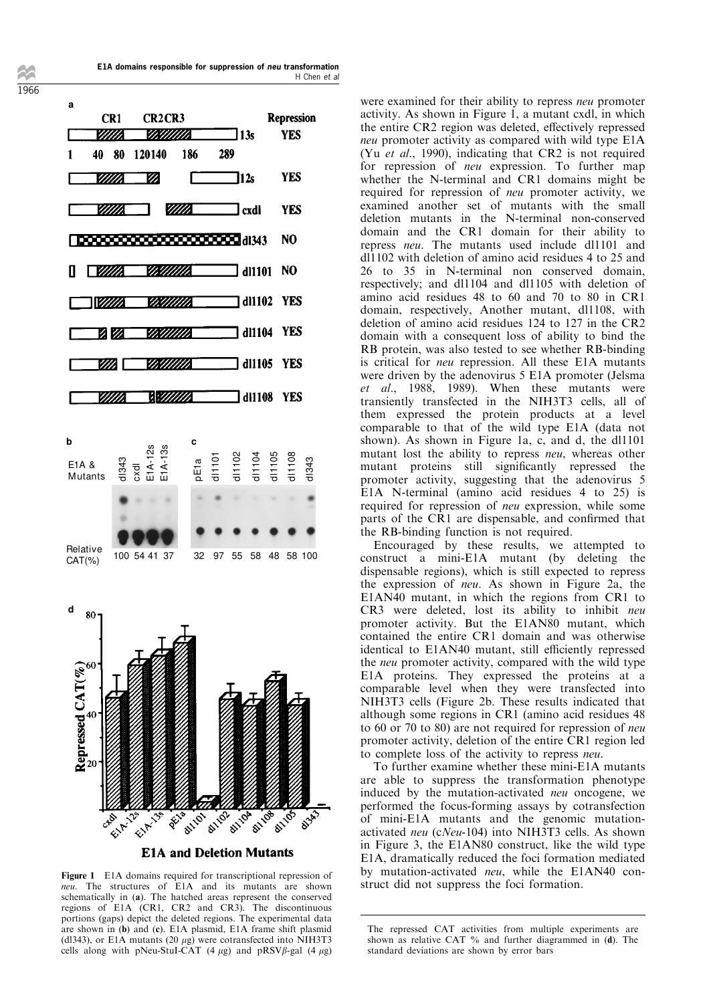E1A domains responsible for suppression of neu transformation H Chen et al

1966



Figure 1 E1A domains required for transcriptional repression of neu. The structures of E1A and its mutants are shown schematically in (a). The hatched areas represent the conserved regions of E1A (CR1, CR2 and CR3). The discontinuous portions (gaps) depict the deleted regions. The experimental data are shown in (b) and (c). E1A plasmid, E1A frame shift plasmid (dl343), or E1A mutants (20  $\mu$ g) were cotransfected into NIH3T3 cells along with pNeu-StuI-CAT (4  $\mu$ g) and pRSV $\beta$ -gal (4  $\mu$ g) were examined for their ability to repress neu promoter activity. As shown in Figure 1, a mutant cxdl, in which the entire CR2 region was deleted, effectively repressed neu promoter activity as compared with wild type E1A (Yu et al., 1990), indicating that CR2 is not required for repression of neu expression. To further map whether the N-terminal and CR1 domains might be required for repression of neu promoter activity, we examined another set of mutants with the small deletion mutants in the N-terminal non-conserved domain and the CR1 domain for their ability to repress neu. The mutants used include dl1101 and  $dl1102$  with deletion of amino acid residues 4 to 25 and 26 to 35 in N-terminal non conserved domain, respectively; and dl1104 and dl1105 with deletion of amino acid residues 48 to 60 and 70 to 80 in CR1 domain, respectively, Another mutant, dl1108, with deletion of amino acid residues 124 to 127 in the CR2 domain with a consequent loss of ability to bind the RB protein, was also tested to see whether RB-binding is critical for neu repression. All these E1A mutants were driven by the adenovirus 5 E1A promoter (Jelsma et al., 1988, 1989). When these mutants were transiently transfected in the NIH3T3 cells, all of them expressed the protein products at a level comparable to that of the wild type E1A (data not shown). As shown in Figure 1a, c, and d, the dl1101 mutant lost the ability to repress neu, whereas other mutant proteins still significantly repressed the promoter activity, suggesting that the adenovirus 5 E1A N-terminal (amino acid residues 4 to 25) is required for repression of neu expression, while some parts of the CR1 are dispensable, and confirmed that the RB-binding function is not required.

Encouraged by these results, we attempted to construct a mini-E1A mutant (by deleting the dispensable regions), which is still expected to repress the expression of neu. As shown in Figure 2a, the E1AN40 mutant, in which the regions from CR1 to CR3 were deleted, lost its ability to inhibit neu promoter activity. But the E1AN80 mutant, which contained the entire CR1 domain and was otherwise identical to E1AN40 mutant, still efficiently repressed the neu promoter activity, compared with the wild type E1A proteins. They expressed the proteins at a comparable level when they were transfected into NIH3T3 cells (Figure 2b. These results indicated that although some regions in CR1 (amino acid residues 48 to 60 or 70 to 80) are not required for repression of neu promoter activity, deletion of the entire CR1 region led to complete loss of the activity to repress neu.

To further examine whether these mini-E1A mutants are able to suppress the transformation phenotype induced by the mutation-activated neu oncogene, we performed the focus-forming assays by cotransfection of mini-E1A mutants and the genomic mutationactivated neu (cNeu-104) into NIH3T3 cells. As shown in Figure 3, the E1AN80 construct, like the wild type E1A, dramatically reduced the foci formation mediated by mutation-activated neu, while the E1AN40 construct did not suppress the foci formation.

The repressed CAT activities from multiple experiments are shown as relative CAT % and further diagrammed in (d). The standard deviations are shown by error bars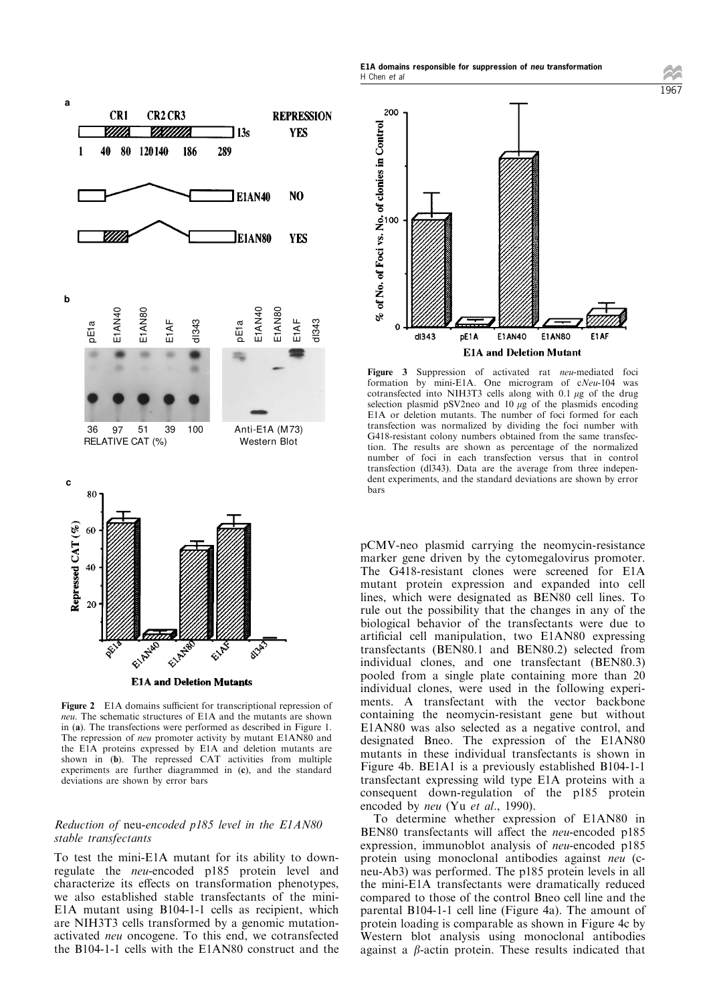

**E1A and Deletion Mutants** 

Figure 2 E1A domains sufficient for transcriptional repression of neu. The schematic structures of E1A and the mutants are shown in (a). The transfections were performed as described in Figure 1. The repression of neu promoter activity by mutant E1AN80 and the E1A proteins expressed by E1A and deletion mutants are shown in (b). The repressed CAT activities from multiple experiments are further diagrammed in (c), and the standard deviations are shown by error bars

# Reduction of neu-encoded p185 level in the E1AN80 stable transfectants

To test the mini-E1A mutant for its ability to downregulate the neu-encoded p185 protein level and characterize its effects on transformation phenotypes, we also established stable transfectants of the mini-E1A mutant using B104-1-1 cells as recipient, which are NIH3T3 cells transformed by a genomic mutationactivated neu oncogene. To this end, we cotransfected the B104-1-1 cells with the E1AN80 construct and the



Figure 3 Suppression of activated rat neu-mediated foci formation by mini-E1A. One microgram of cNeu-104 was cotransfected into NIH3T3 cells along with 0.1  $\mu$ g of the drug selection plasmid pSV2neo and  $10 \mu g$  of the plasmids encoding E1A or deletion mutants. The number of foci formed for each transfection was normalized by dividing the foci number with G418-resistant colony numbers obtained from the same transfection. The results are shown as percentage of the normalized number of foci in each transfection versus that in control transfection (dl343). Data are the average from three independent experiments, and the standard deviations are shown by error bars

pCMV-neo plasmid carrying the neomycin-resistance marker gene driven by the cytomegalovirus promoter. The G418-resistant clones were screened for E1A mutant protein expression and expanded into cell lines, which were designated as BEN80 cell lines. To rule out the possibility that the changes in any of the biological behavior of the transfectants were due to artificial cell manipulation, two E1AN80 expressing transfectants (BEN80.1 and BEN80.2) selected from individual clones, and one transfectant (BEN80.3) pooled from a single plate containing more than 20 individual clones, were used in the following experiments. A transfectant with the vector backbone containing the neomycin-resistant gene but without E1AN80 was also selected as a negative control, and designated Bneo. The expression of the E1AN80 mutants in these individual transfectants is shown in Figure 4b. BE1A1 is a previously established B104-1-1 transfectant expressing wild type E1A proteins with a consequent down-regulation of the p185 protein encoded by neu (Yu et al., 1990).

To determine whether expression of E1AN80 in BEN80 transfectants will affect the *neu*-encoded p185 expression, immunoblot analysis of neu-encoded p185 protein using monoclonal antibodies against neu (cneu-Ab3) was performed. The p185 protein levels in all the mini-E1A transfectants were dramatically reduced compared to those of the control Bneo cell line and the parental B104-1-1 cell line (Figure 4a). The amount of protein loading is comparable as shown in Figure 4c by Western blot analysis using monoclonal antibodies against a  $\beta$ -actin protein. These results indicated that

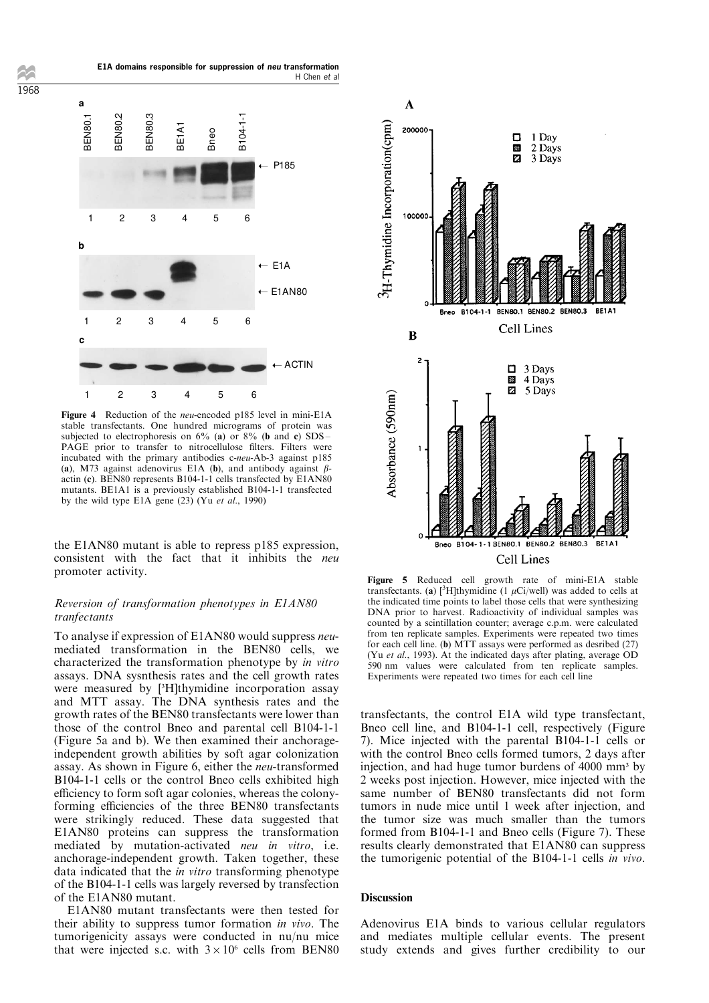1968

BEN80. **BEN80.2** BEN80.3 BE1A1 Bneo B104-1-1 **a b c** ➝ P185 ➝ E1A ➝ E1AN80 ➝ ACTIN 123456 123456 123456 H Chen et al

E1A domains responsible for suppression of neu transformation

Figure 4 Reduction of the *neu*-encoded p185 level in mini-E1A stable transfectants. One hundred micrograms of protein was subjected to electrophoresis on  $6\%$  (a) or  $8\%$  (b and c) SDS -PAGE prior to transfer to nitrocellulose filters. Filters were incubated with the primary antibodies c-neu-Ab-3 against p185 (a), M73 against adenovirus E1A (b), and antibody against  $\beta$ actin (c). BEN80 represents B104-1-1 cells transfected by E1AN80 mutants. BE1A1 is a previously established B104-1-1 transfected by the wild type E1A gene  $(23)$  (Yu et al., 1990)

the E1AN80 mutant is able to repress p185 expression, consistent with the fact that it inhibits the neu promoter activity.

# Reversion of transformation phenotypes in E1AN80 tranfectants

To analyse if expression of E1AN80 would suppress neumediated transformation in the BEN80 cells, we characterized the transformation phenotype by in vitro assays. DNA sysnthesis rates and the cell growth rates were measured by [<sup>3</sup>H]thymidine incorporation assay and MTT assay. The DNA synthesis rates and the growth rates of the BEN80 transfectants were lower than those of the control Bneo and parental cell B104-1-1 (Figure 5a and b). We then examined their anchorageindependent growth abilities by soft agar colonization assay. As shown in Figure 6, either the neu-transformed B104-1-1 cells or the control Bneo cells exhibited high efficiency to form soft agar colonies, whereas the colonyforming efficiencies of the three BEN80 transfectants were strikingly reduced. These data suggested that E1AN80 proteins can suppress the transformation mediated by mutation-activated neu in vitro, i.e. anchorage-independent growth. Taken together, these data indicated that the in vitro transforming phenotype of the B104-1-1 cells was largely reversed by transfection of the E1AN80 mutant.

E1AN80 mutant transfectants were then tested for their ability to suppress tumor formation in vivo. The tumorigenicity assays were conducted in nu/nu mice that were injected s.c. with  $3 \times 10^6$  cells from BEN80



Figure 5 Reduced cell growth rate of mini-E1A stable transfectants. (a) [ ${}^{3}$ H]thymidine (1  $\mu$ Ci/well) was added to cells at the indicated time points to label those cells that were synthesizing DNA prior to harvest. Radioactivity of individual samples was counted by a scintillation counter; average c.p.m. were calculated from ten replicate samples. Experiments were repeated two times for each cell line. (b) MTT assays were performed as desribed (27) (Yu et al., 1993). At the indicated days after plating, average OD 590 nm values were calculated from ten replicate samples. Experiments were repeated two times for each cell line

transfectants, the control E1A wild type transfectant, Bneo cell line, and B104-1-1 cell, respectively (Figure 7). Mice injected with the parental B104-1-1 cells or with the control Bneo cells formed tumors, 2 days after injection, and had huge tumor burdens of 4000 mm<sup>3</sup> by 2 weeks post injection. However, mice injected with the same number of BEN80 transfectants did not form tumors in nude mice until 1 week after injection, and the tumor size was much smaller than the tumors formed from B104-1-1 and Bneo cells (Figure 7). These results clearly demonstrated that E1AN80 can suppress the tumorigenic potential of the B104-1-1 cells in vivo.

# Discussion

Adenovirus E1A binds to various cellular regulators and mediates multiple cellular events. The present study extends and gives further credibility to our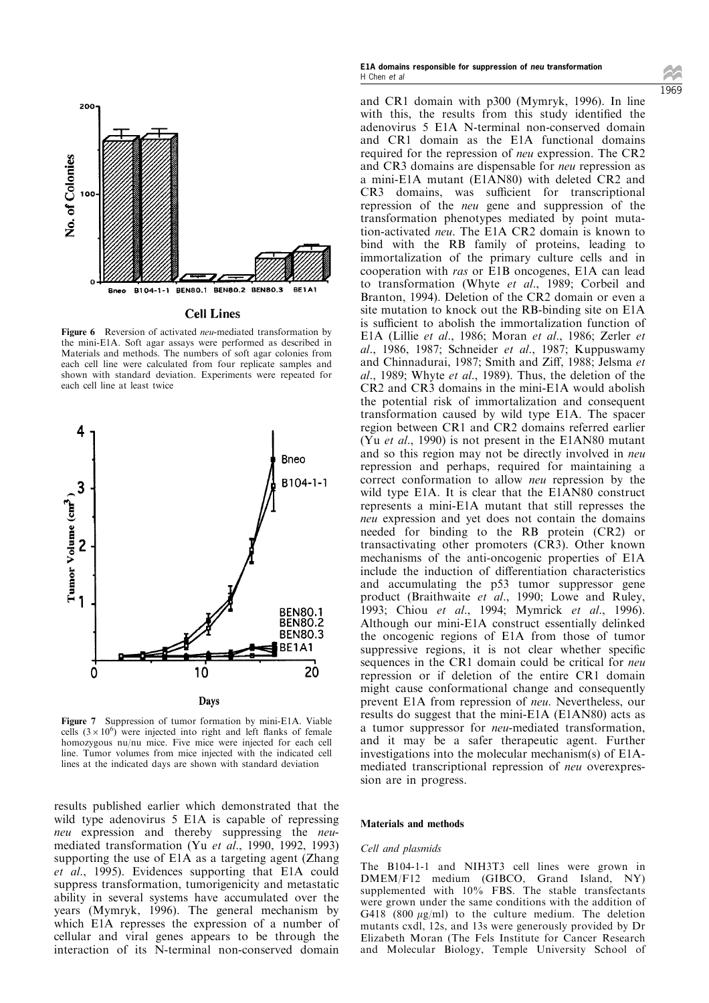

#### **Cell Lines**

Figure 6 Reversion of activated neu-mediated transformation by the mini-E1A. Soft agar assays were performed as described in Materials and methods. The numbers of soft agar colonies from each cell line were calculated from four replicate samples and shown with standard deviation. Experiments were repeated for each cell line at least twice



Figure 7 Suppression of tumor formation by mini-E1A. Viable cells  $(3 \times 10^6)$  were injected into right and left flanks of female homozygous nu/nu mice. Five mice were injected for each cell line. Tumor volumes from mice injected with the indicated cell lines at the indicated days are shown with standard deviation

results published earlier which demonstrated that the wild type adenovirus 5 E1A is capable of repressing neu expression and thereby suppressing the *neu*mediated transformation (Yu et al., 1990, 1992, 1993) supporting the use of E1A as a targeting agent (Zhang et al., 1995). Evidences supporting that E1A could suppress transformation, tumorigenicity and metastatic ability in several systems have accumulated over the years (Mymryk, 1996). The general mechanism by which E1A represses the expression of a number of cellular and viral genes appears to be through the interaction of its N-terminal non-conserved domain

#### E1A domains responsible for suppression of neu transformation H Chen et al

and CR1 domain with p300 (Mymryk, 1996). In line with this, the results from this study identified the adenovirus 5 E1A N-terminal non-conserved domain and CR1 domain as the E1A functional domains required for the repression of neu expression. The CR2 and CR3 domains are dispensable for neu repression as a mini-E1A mutant (E1AN80) with deleted CR2 and CR3 domains, was sufficient for transcriptional repression of the neu gene and suppression of the transformation phenotypes mediated by point mutation-activated neu. The E1A CR2 domain is known to bind with the RB family of proteins, leading to immortalization of the primary culture cells and in cooperation with ras or E1B oncogenes, E1A can lead to transformation (Whyte et al., 1989; Corbeil and Branton, 1994). Deletion of the CR2 domain or even a site mutation to knock out the RB-binding site on E1A is sufficient to abolish the immortalization function of E1A (Lillie et al., 1986; Moran et al., 1986; Zerler et al., 1986, 1987; Schneider et al., 1987; Kuppuswamy and Chinnadurai, 1987; Smith and Ziff, 1988; Jelsma et al., 1989; Whyte et al., 1989). Thus, the deletion of the CR2 and CR3 domains in the mini-E1A would abolish the potential risk of immortalization and consequent transformation caused by wild type E1A. The spacer region between CR1 and CR2 domains referred earlier (Yu et al., 1990) is not present in the E1AN80 mutant and so this region may not be directly involved in neu repression and perhaps, required for maintaining a correct conformation to allow neu repression by the wild type E1A. It is clear that the E1AN80 construct represents a mini-E1A mutant that still represses the neu expression and yet does not contain the domains needed for binding to the RB protein (CR2) or transactivating other promoters (CR3). Other known mechanisms of the anti-oncogenic properties of E1A include the induction of differentiation characteristics and accumulating the p53 tumor suppressor gene product (Braithwaite et al., 1990; Lowe and Ruley, 1993; Chiou et al., 1994; Mymrick et al., 1996). Although our mini-E1A construct essentially delinked the oncogenic regions of E1A from those of tumor suppressive regions, it is not clear whether specific sequences in the CR1 domain could be critical for neu repression or if deletion of the entire CR1 domain might cause conformational change and consequently prevent E1A from repression of neu. Nevertheless, our results do suggest that the mini-E1A (E1AN80) acts as

a tumor suppressor for neu-mediated transformation, and it may be a safer therapeutic agent. Further investigations into the molecular mechanism(s) of E1Amediated transcriptional repression of neu overexpression are in progress.

#### Materials and methods

#### Cell and plasmids

The B104-1-1 and NIH3T3 cell lines were grown in DMEM/F12 medium (GIBCO, Grand Island, NY) supplemented with 10% FBS. The stable transfectants were grown under the same conditions with the addition of G418 (800  $\mu$ g/ml) to the culture medium. The deletion mutants cxdl, 12s, and 13s were generously provided by Dr Elizabeth Moran (The Fels Institute for Cancer Research and Molecular Biology, Temple University School of 1969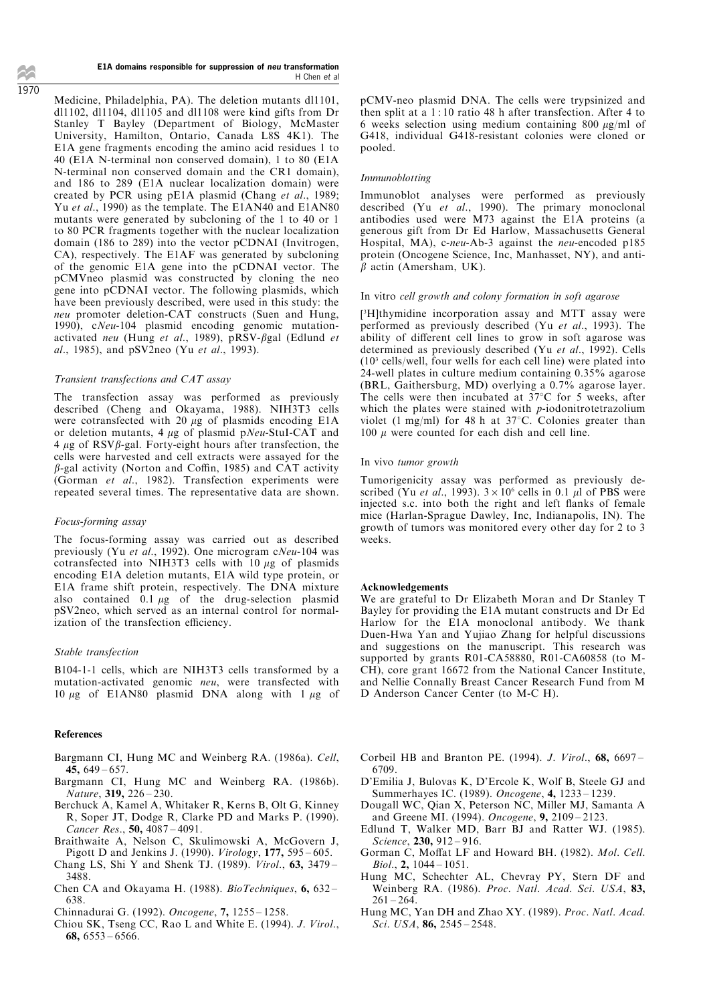#### E1A domains responsible for suppression of neu transformation H Chen et al

Medicine, Philadelphia, PA). The deletion mutants dl1101, dl1102, dl1104, dl1105 and dl1108 were kind gifts from Dr Stanley T Bayley (Department of Biology, McMaster University, Hamilton, Ontario, Canada L8S 4K1). The E1A gene fragments encoding the amino acid residues 1 to 40 (E1A N-terminal non conserved domain), 1 to 80 (E1A N-terminal non conserved domain and the CR1 domain), and 186 to 289 (E1A nuclear localization domain) were created by PCR using pE1A plasmid (Chang et al., 1989; Yu et al., 1990) as the template. The E1AN40 and E1AN80 mutants were generated by subcloning of the 1 to 40 or 1 to 80 PCR fragments together with the nuclear localization domain (186 to 289) into the vector pCDNAI (Invitrogen, CA), respectively. The E1AF was generated by subcloning of the genomic E1A gene into the pCDNAI vector. The pCMVneo plasmid was constructed by cloning the neo gene into pCDNAI vector. The following plasmids, which have been previously described, were used in this study: the neu promoter deletion-CAT constructs (Suen and Hung, 1990), cNeu-104 plasmid encoding genomic mutationactivated neu (Hung et al., 1989), pRSV- $\beta$ gal (Edlund et al., 1985), and pSV2neo (Yu et al., 1993).

## Transient transfections and CAT assay

The transfection assay was performed as previously described (Cheng and Okayama, 1988). NIH3T3 cells were cotransfected with 20  $\mu$ g of plasmids encoding E1A or deletion mutants, 4  $\mu$ g of plasmid pNeu-StuI-CAT and  $4 \mu$ g of RSV $\beta$ -gal. Forty-eight hours after transfection, the cells were harvested and cell extracts were assayed for the  $\beta$ -gal activity (Norton and Coffin, 1985) and CAT activity (Gorman et al., 1982). Transfection experiments were repeated several times. The representative data are shown.

## Focus-forming assay

The focus-forming assay was carried out as described previously (Yu et al., 1992). One microgram cNeu-104 was cotransfected into NIH3T3 cells with  $10 \mu$ g of plasmids encoding E1A deletion mutants, E1A wild type protein, or E1A frame shift protein, respectively. The DNA mixture also contained  $\overline{0.1 \mu g}$  of the drug-selection plasmid pSV2neo, which served as an internal control for normalization of the transfection efficiency.

#### Stable transfection

B104-1-1 cells, which are NIH3T3 cells transformed by a mutation-activated genomic neu, were transfected with 10  $\mu$ g of E1AN80 plasmid DNA along with 1  $\mu$ g of

## References

- Bargmann CI, Hung MC and Weinberg RA. (1986a). Cell, 45,  $649 - 657$ .
- Bargmann CI, Hung MC and Weinberg RA. (1986b). Nature, 319, 226-230.
- Berchuck A, Kamel A, Whitaker R, Kerns B, Olt G, Kinney R, Soper JT, Dodge R, Clarke PD and Marks P. (1990). Cancer Res.,  $50.4087 - 4091$ .
- Braithwaite A, Nelson C, Skulimowski A, McGovern J, Pigott D and Jenkins J. (1990).  $Virology$ , 177, 595 - 605.
- Chang LS, Shi Y and Shenk TJ. (1989). Virol., 63, 3479 -3488.
- Chen CA and Okayama H. (1988). BioTechniques,  $6, 632 -$ 638.
- Chinnadurai G. (1992). Oncogene, 7, 1255-1258.
- Chiou SK, Tseng CC, Rao L and White E. (1994). J. Virol., 68,  $6553 - 6566$ .

pCMV-neo plasmid DNA. The cells were trypsinized and then split at a 1 : 10 ratio 48 h after transfection. After 4 to 6 weeks selection using medium containing 800  $\mu$ g/ml of G418, individual G418-resistant colonies were cloned or pooled.

## Immunoblotting

Immunoblot analyses were performed as previously described (Yu et al., 1990). The primary monoclonal antibodies used were M73 against the E1A proteins (a generous gift from Dr Ed Harlow, Massachusetts General Hospital, MA), c-neu-Ab-3 against the neu-encoded p185 protein (Oncogene Science, Inc, Manhasset, NY), and anti- $\beta$  actin (Amersham, UK).

## In vitro cell growth and colony formation in soft agarose

[ <sup>3</sup>H]thymidine incorporation assay and MTT assay were performed as previously described (Yu et al., 1993). The ability of different cell lines to grow in soft agarose was determined as previously described (Yu et al., 1992). Cells (10<sup>3</sup> cells/well, four wells for each cell line) were plated into 24-well plates in culture medium containing 0.35% agarose (BRL, Gaithersburg, MD) overlying a 0.7% agarose layer. The cells were then incubated at  $37^{\circ}$ C for 5 weeks, after which the plates were stained with p-iodonitrotetrazolium violet (1 mg/ml) for 48 h at  $37^{\circ}$ C. Colonies greater than 100  $\mu$  were counted for each dish and cell line.

#### In vivo tumor growth

Tumorigenicity assay was performed as previously described (Yu et al., 1993).  $3 \times 10^6$  cells in 0.1 µl of PBS were injected s.c. into both the right and left flanks of female mice (Harlan-Sprague Dawley, Inc, Indianapolis, IN). The growth of tumors was monitored every other day for 2 to 3 weeks.

#### Acknowledgements

We are grateful to Dr Elizabeth Moran and Dr Stanley T Bayley for providing the E1A mutant constructs and Dr Ed Harlow for the E1A monoclonal antibody. We thank Duen-Hwa Yan and Yujiao Zhang for helpful discussions and suggestions on the manuscript. This research was supported by grants R01-CA58880, R01-CA60858 (to M-CH), core grant 16672 from the National Cancer Institute, and Nellie Connally Breast Cancer Research Fund from M D Anderson Cancer Center (to M-C H).

- Corbeil HB and Branton PE. (1994). J. Virol., 68, 6697 -6709.
- D'Emilia J, Bulovas K, D'Ercole K, Wolf B, Steele GJ and Summerhayes IC. (1989). Oncogene, 4, 1233-1239.
- Dougall WC, Qian X, Peterson NC, Miller MJ, Samanta A and Greene MI. (1994). Oncogene,  $9, 2109 - 2123$ .
- Edlund T, Walker MD, Barr BJ and Ratter WJ. (1985). Science, 230, 912-916.
- Gorman C, Moffat LF and Howard BH. (1982). Mol. Cell.  $Biol., 2, 1044 - 1051.$
- Hung MC, Schechter AL, Chevray PY, Stern DF and Weinberg RA. (1986). Proc. Natl. Acad. Sci. USA, 83,  $261 - 264$
- Hung MC, Yan DH and Zhao XY. (1989). Proc. Natl. Acad. Sci. USA,  $86$ ,  $2545 - 2548$ .